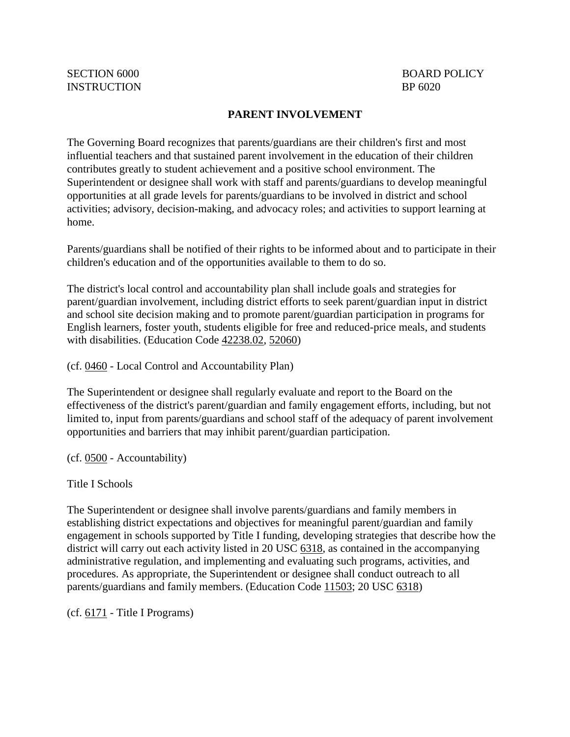## **PARENT INVOLVEMENT**

The Governing Board recognizes that parents/guardians are their children's first and most influential teachers and that sustained parent involvement in the education of their children contributes greatly to student achievement and a positive school environment. The Superintendent or designee shall work with staff and parents/guardians to develop meaningful opportunities at all grade levels for parents/guardians to be involved in district and school activities; advisory, decision-making, and advocacy roles; and activities to support learning at home.

Parents/guardians shall be notified of their rights to be informed about and to participate in their children's education and of the opportunities available to them to do so.

The district's local control and accountability plan shall include goals and strategies for parent/guardian involvement, including district efforts to seek parent/guardian input in district and school site decision making and to promote parent/guardian participation in programs for English learners, foster youth, students eligible for free and reduced-price meals, and students with disabilities. (Education Code [42238.02,](http://gamutonline.net/displayPolicy/1006821/6) [52060\)](http://gamutonline.net/displayPolicy/1007011/6)

(cf. [0460](http://gamutonline.net/displayPolicy/857369/6) - Local Control and Accountability Plan)

The Superintendent or designee shall regularly evaluate and report to the Board on the effectiveness of the district's parent/guardian and family engagement efforts, including, but not limited to, input from parents/guardians and school staff of the adequacy of parent involvement opportunities and barriers that may inhibit parent/guardian participation.

(cf. [0500](http://gamutonline.net/displayPolicy/171712/6) - Accountability)

Title I Schools

The Superintendent or designee shall involve parents/guardians and family members in establishing district expectations and objectives for meaningful parent/guardian and family engagement in schools supported by Title I funding, developing strategies that describe how the district will carry out each activity listed in 20 USC [6318,](http://gamutonline.net/displayPolicy/302984/6) as contained in the accompanying administrative regulation, and implementing and evaluating such programs, activities, and procedures. As appropriate, the Superintendent or designee shall conduct outreach to all parents/guardians and family members. (Education Code [11503;](http://gamutonline.net/displayPolicy/129642/6) 20 USC [6318\)](http://gamutonline.net/displayPolicy/302984/6)

(cf. [6171](http://gamutonline.net/displayPolicy/288781/6) - Title I Programs)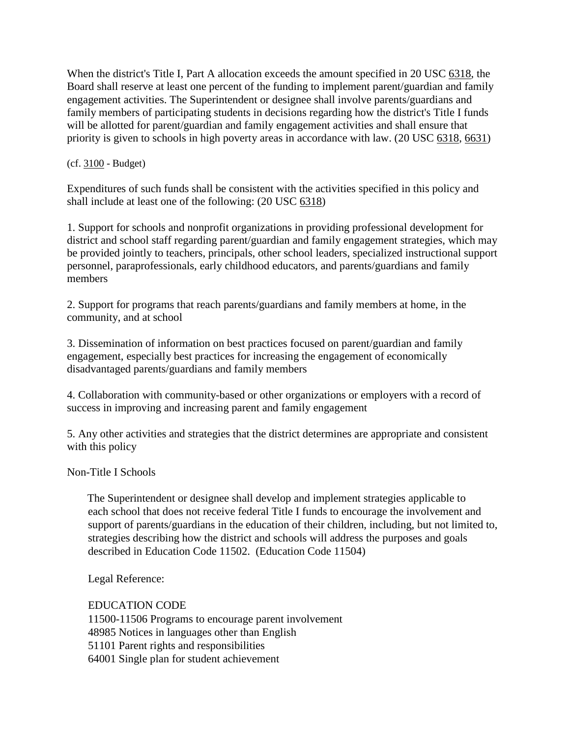When the district's Title I, Part A allocation exceeds the amount specified in 20 USC [6318,](http://gamutonline.net/displayPolicy/302984/6) the Board shall reserve at least one percent of the funding to implement parent/guardian and family engagement activities. The Superintendent or designee shall involve parents/guardians and family members of participating students in decisions regarding how the district's Title I funds will be allotted for parent/guardian and family engagement activities and shall ensure that priority is given to schools in high poverty areas in accordance with law. (20 USC [6318,](http://gamutonline.net/displayPolicy/302984/6) [6631\)](http://gamutonline.net/displayPolicy/302716/6)

(cf. [3100](http://gamutonline.net/displayPolicy/352637/6) - Budget)

Expenditures of such funds shall be consistent with the activities specified in this policy and shall include at least one of the following: (20 USC [6318\)](http://gamutonline.net/displayPolicy/302984/6)

1. Support for schools and nonprofit organizations in providing professional development for district and school staff regarding parent/guardian and family engagement strategies, which may be provided jointly to teachers, principals, other school leaders, specialized instructional support personnel, paraprofessionals, early childhood educators, and parents/guardians and family members

2. Support for programs that reach parents/guardians and family members at home, in the community, and at school

3. Dissemination of information on best practices focused on parent/guardian and family engagement, especially best practices for increasing the engagement of economically disadvantaged parents/guardians and family members

4. Collaboration with community-based or other organizations or employers with a record of success in improving and increasing parent and family engagement

5. Any other activities and strategies that the district determines are appropriate and consistent with this policy

Non-Title I Schools

The Superintendent or designee shall develop and implement strategies applicable to each school that does not receive federal Title I funds to encourage the involvement and support of parents/guardians in the education of their children, including, but not limited to, strategies describing how the district and schools will address the purposes and goals described in Education Code 11502. (Education Code 11504)

Legal Reference:

EDUCATION CODE

11500-11506 Programs to encourage parent involvement

48985 Notices in languages other than English

51101 Parent rights and responsibilities

64001 Single plan for student achievement